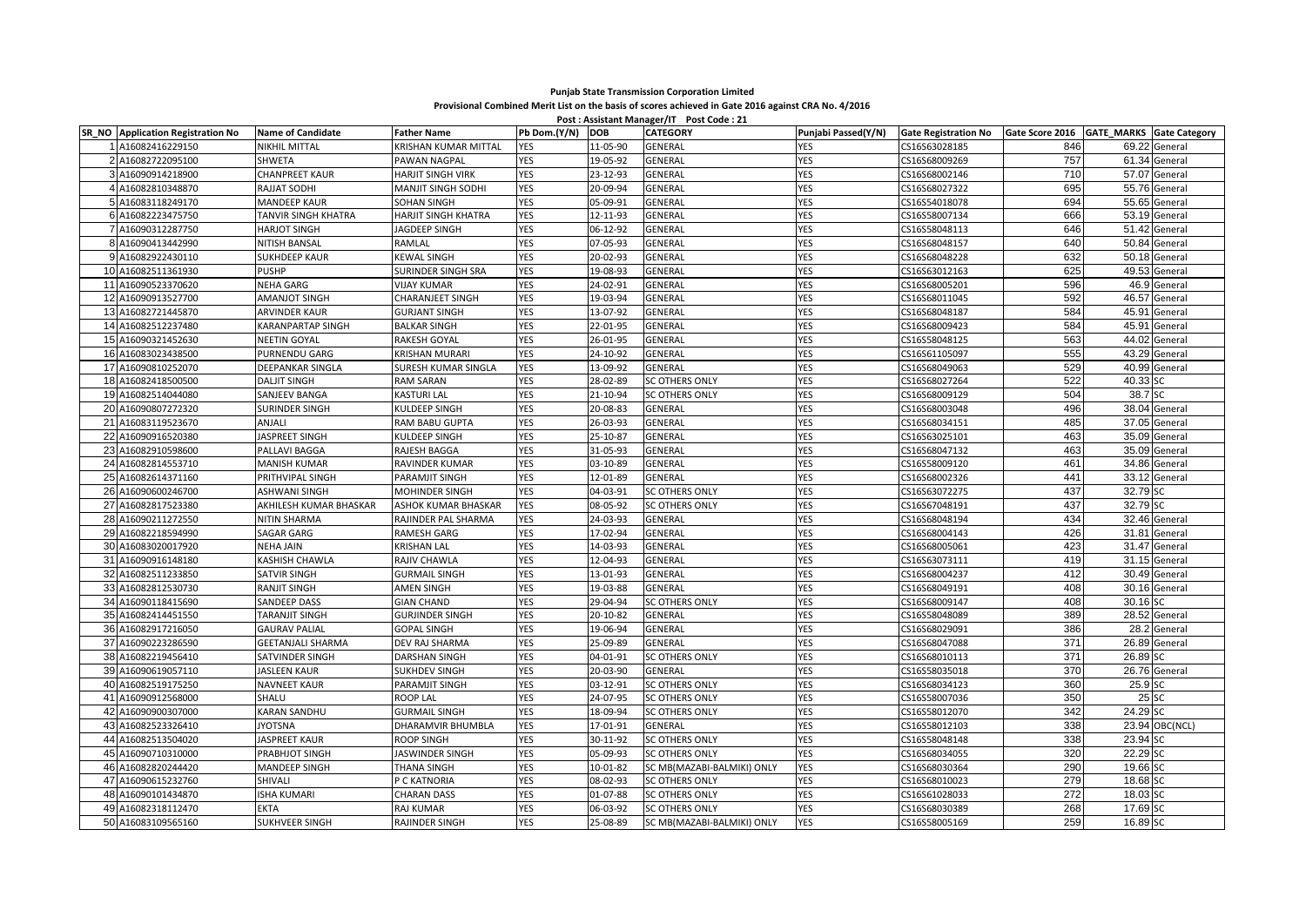## **Punjab State Transmission Corporation Limited Provisional Combined Merit List on the basis of scores achieved in Gate 2016 against CRA No. 4/2016 Post : Assistant Manager/IT Post Code : 21**

|                 | SR_NO Application Registration No | <b>Name of Candidate</b> | <b>Father Name</b>         | Pb Dom.(Y/N) DOB |          | POSt: Assistant Manager/II Post Code : 21<br><b>CATEGORY</b> | Punjabi Passed(Y/N) | <b>Gate Registration No</b> | Gate Score 2016 GATE_MARKS Gate Category |               |                |
|-----------------|-----------------------------------|--------------------------|----------------------------|------------------|----------|--------------------------------------------------------------|---------------------|-----------------------------|------------------------------------------|---------------|----------------|
|                 | A16082416229150                   | <b>NIKHIL MITTAL</b>     | KRISHAN KUMAR MITTAL       | <b>YES</b>       | 11-05-90 | GENERAL                                                      | YES                 | CS16S63028185               | 846                                      | 69.22 General |                |
|                 | A16082722095100                   | <b>SHWETA</b>            | PAWAN NAGPAL               | YES              | 19-05-92 | GENERAL                                                      | YES                 | CS16S68009269               | 757                                      |               | 61.34 General  |
|                 | 3 A16090914218900                 | <b>CHANPREET KAUR</b>    | <b>HARJIT SINGH VIRK</b>   | YES              | 23-12-93 | GENERAL                                                      | YES                 | CS16S68002146               | 710                                      |               | 57.07 General  |
|                 | 4 A16082810348870                 | RAJJAT SODHI             | <b>MANJIT SINGH SODHI</b>  | YES              | 20-09-94 | GENERAL                                                      | YES                 | CS16S68027322               | 695                                      |               | 55.76 General  |
|                 | 5 A16083118249170                 | <b>MANDEEP KAUR</b>      | <b>SOHAN SINGH</b>         | <b>YES</b>       | 05-09-91 | GENERAL                                                      | YES                 | CS16S54018078               | 694                                      |               | 55.65 General  |
|                 | 6 A16082223475750                 | TANVIR SINGH KHATRA      | HARJIT SINGH KHATRA        | YES              | 12-11-93 | GENERAL                                                      | YES                 | CS16S58007134               | 666                                      |               | 53.19 General  |
|                 | A16090312287750                   | <b>HARJOT SINGH</b>      | JAGDEEP SINGH              | YES              | 06-12-92 | GENERAL                                                      | YES                 | CS16S58048113               | 646                                      |               | 51.42 General  |
|                 | 8 A16090413442990                 | NITISH BANSAL            | RAMLAL                     | YES              | 07-05-93 | GENERAL                                                      | YES                 | CS16S68048157               | 640                                      | 50.84 General |                |
|                 | 9 A16082922430110                 | <b>SUKHDEEP KAUR</b>     | <b>KEWAL SINGH</b>         | YES              | 20-02-93 | GENERAL                                                      | <b>YES</b>          | CS16S68048228               | 632                                      |               | 50.18 General  |
|                 | 10 A16082511361930                | <b>PUSHP</b>             | <b>SURINDER SINGH SRA</b>  | YES              | 19-08-93 | GENERAL                                                      | YES                 | CS16S63012163               | 625                                      |               | 49.53 General  |
| 11              | 416090523370620                   | <b>NEHA GARG</b>         | <b>VIJAY KUMAR</b>         | YES              | 24-02-91 | GENERAL                                                      | YES                 | CS16S68005201               | 596                                      | 46.9          | General        |
| 12 <sup>1</sup> | A16090913527700                   | AMANJOT SINGH            | <b>CHARANJEET SINGH</b>    | YES              | 19-03-94 | GENERAL                                                      | YES                 | CS16S68011045               | 592                                      |               | 46.57 General  |
|                 | 13 A16082721445870                | <b>ARVINDER KAUR</b>     | <b>GURJANT SINGH</b>       | YES              | 13-07-92 | GENERAL                                                      | YES                 | CS16S68048187               | 584                                      |               | 45.91 General  |
| 14              | 416082512237480                   | <b>KARANPARTAP SINGH</b> | <b>BALKAR SINGH</b>        | YES              | 22-01-95 | GENERAL                                                      | YES                 | CS16S68009423               | 584                                      |               | 45.91 General  |
| 15 <sup>1</sup> | 416090321452630                   | <b>NEETIN GOYAL</b>      | RAKESH GOYAL               | YES              | 26-01-95 | GENERAL                                                      | YES                 | CS16S58048125               | 563                                      |               | 44.02 General  |
| 16 <sup>1</sup> | A16083023438500                   | PURNENDU GARG            | <b>KRISHAN MURARI</b>      | YES              | 24-10-92 | GENERAL                                                      | YES                 | CS16S61105097               | 555                                      |               | 43.29 General  |
| 17              | A16090810252070                   | DEEPANKAR SINGLA         | SURESH KUMAR SINGLA        | YES              | 13-09-92 | GENERAL                                                      | YES                 | CS16S68049063               | 529                                      |               | 40.99 General  |
|                 | 18 A16082418500500                | <b>DALJIT SINGH</b>      | <b>RAM SARAN</b>           | YES              | 28-02-89 | <b>SC OTHERS ONLY</b>                                        | <b>YES</b>          | CS16S68027264               | 522                                      | 40.33 SC      |                |
|                 | 19 A16082514044080                | <b>SANJEEV BANGA</b>     | <b>KASTURI LAL</b>         | YES              | 21-10-94 | <b>SC OTHERS ONLY</b>                                        | YES                 | CS16S68009129               | 504                                      | 38.7 SC       |                |
|                 | 20 A16090807272320                | <b>SURINDER SINGH</b>    | <b>KULDEEP SINGH</b>       | YES              | 20-08-83 | GENERAL                                                      | YES                 | CS16S68003048               | 496                                      |               | 38.04 General  |
| 21              | 416083119523670                   | ANJALI                   | RAM BABU GUPTA             | YES              | 26-03-93 | GENERAL                                                      | YES                 | CS16S68034151               | 485                                      |               | 37.05 General  |
| 22              | 116090916520380                   | JASPREET SINGH           | KULDEEP SINGH              | YES              | 25-10-87 | GENERAL                                                      | YES                 | CS16S63025101               | 463                                      |               | 35.09 General  |
| 23              | 16082910598600                    | PALLAVI BAGGA            | RAJESH BAGGA               | YES              | 31-05-93 | GENERAL                                                      | YES                 | CS16S68047132               | 463                                      |               | 35.09 General  |
| 24              | A16082814553710                   | MANISH KUMAR             | RAVINDER KUMAR             | YES              | 03-10-89 | GENERAL                                                      | YES                 | CS16S58009120               | 461                                      |               | 34.86 General  |
| 25              | 416082614371160                   | PRITHVIPAL SINGH         | PARAMJIT SINGH             | YES              | 12-01-89 | GENERAL                                                      | YES                 | CS16S68002326               | 441                                      |               | 33.12 General  |
| 26              | A16090600246700                   | ASHWANI SINGH            | MOHINDER SINGH             | YES              | 04-03-91 | <b>SC OTHERS ONLY</b>                                        | YES                 | CS16S63072275               | 437                                      | 32.79 SC      |                |
| 27              | A16082817523380                   | AKHILESH KUMAR BHASKAR   | <b>ASHOK KUMAR BHASKAR</b> | YES              | 08-05-92 | <b>SC OTHERS ONLY</b>                                        | YES                 | CS16S67048191               | 437                                      | 32.79 SC      |                |
| 28              | A16090211272550                   | NITIN SHARMA             | RAJINDER PAL SHARMA        | YES              | 24-03-93 | GENERAL                                                      | YES                 | CS16S68048194               | 434                                      |               | 32.46 General  |
| 29              | A16082218594990                   | SAGAR GARG               | RAMESH GARG                | YES              | 17-02-94 | GENERAL                                                      | YES                 | CS16S68004143               | 426                                      | 31.81 General |                |
|                 | 30 A16083020017920                | <b>NEHA JAIN</b>         | <b>KRISHAN LAL</b>         | YES              | 14-03-93 | GENERAL                                                      | YES                 | CS16S68005061               | 423                                      |               | 31.47 General  |
| 31              | A16090916148180                   | KASHISH CHAWLA           | RAJIV CHAWLA               | YES              | 12-04-93 | GENERAL                                                      | YES                 | CS16S63073111               | 419                                      | 31.15 General |                |
| 32              | 416082511233850                   | <b>SATVIR SINGH</b>      | <b>GURMAIL SINGH</b>       | YES              | 13-01-93 | GENERAL                                                      | YES                 | CS16S68004237               | 412                                      |               | 30.49 General  |
| 33              | A16082812530730                   | <b>RANJIT SINGH</b>      | <b>AMEN SINGH</b>          | YES              | 19-03-88 | GENERAL                                                      | YES                 | CS16S68049191               | 408                                      |               | 30.16 General  |
| 34              | 416090118415690                   | SANDEEP DASS             | <b>GIAN CHAND</b>          | YES              | 29-04-94 | <b>SC OTHERS ONLY</b>                                        | YES                 | CS16S68009147               | 408                                      | 30.16 SC      |                |
|                 | 35 A16082414451550                | <b>TARANJIT SINGH</b>    | <b>GURJINDER SINGH</b>     | YES              | 20-10-82 | GENERAL                                                      | YES                 | CS16S58048089               | 389                                      | 28.52 General |                |
| 36 <sup>1</sup> | A16082917216050                   | <b>GAURAV PALIAL</b>     | <b>GOPAL SINGH</b>         | YES              | 19-06-94 | GENERAL                                                      | <b>YES</b>          | CS16S68029091               | 386                                      |               | 28.2 General   |
| 37              | 416090223286590                   | <b>GEETANJALI SHARMA</b> | <b>DEV RAJ SHARMA</b>      | YES              | 25-09-89 | GENERAL                                                      | YES                 | CS16S68047088               | 371                                      | 26.89 General |                |
| 38 <sup>l</sup> | 416082219456410                   | SATVINDER SINGH          | <b>DARSHAN SINGH</b>       | YES              | 04-01-91 | <b>SC OTHERS ONLY</b>                                        | YES                 | CS16S68010113               | 371                                      | 26.89 SC      |                |
| 39              | A16090619057110                   | <b>JASLEEN KAUR</b>      | <b>SUKHDEV SINGH</b>       | YES              | 20-03-90 | GENERAL                                                      | YES                 | CS16S58035018               | 370                                      |               | 26.76 General  |
|                 | 40 A16082519175250                | <b>NAVNEET KAUR</b>      | PARAMJIT SINGH             | YES              | 03-12-91 | SC OTHERS ONLY                                               | YES                 | CS16S68034123               | 360                                      | 25.9 SC       |                |
| 41              | 16090912568000                    | SHALU                    | <b>ROOP LAL</b>            | YES              | 24-07-95 | <b>SC OTHERS ONLY</b>                                        | YES                 | CS16S58007036               | 350                                      | 25 SC         |                |
| 42              | 416090900307000                   | <b>KARAN SANDHU</b>      | <b>GURMAIL SINGH</b>       | YES              | 18-09-94 | <b>SC OTHERS ONLY</b>                                        | YES                 | CS16S58012070               | 342                                      | 24.29 SC      |                |
| 43              | 416082523326410                   | <b>JYOTSNA</b>           | DHARAMVIR BHUMBLA          | YES              | 17-01-91 | GENERAL                                                      | YES                 | CS16S58012103               | 338                                      |               | 23.94 OBC(NCL) |
| 44              | 416082513504020                   | <b>JASPREET KAUR</b>     | ROOP SINGH                 | YES              | 30-11-92 | <b>SC OTHERS ONLY</b>                                        | YES                 | CS16S58048148               | 338                                      | 23.94 SC      |                |
| 45              | A16090710310000                   | PRABHJOT SINGH           | JASWINDER SINGH            | YES              | 05-09-93 | <b>SC OTHERS ONLY</b>                                        | <b>YES</b>          | CS16S68034055               | 320                                      | 22.29 SC      |                |
| 46              | A16082820244420                   | MANDEEP SINGH            | <b>THANA SINGH</b>         | YES              | 10-01-82 | SC MB(MAZABI-BALMIKI) ONLY                                   | <b>YES</b>          | CS16S68030364               | 290                                      | 19.66 SC      |                |
| 47              | 416090615232760                   | SHIVALI                  | P C KATNORIA               | YES              | 08-02-93 | <b>SC OTHERS ONLY</b>                                        | YES                 | CS16S68010023               | 279                                      | 18.68 SC      |                |
|                 | 48 A16090101434870                | <b>ISHA KUMARI</b>       | <b>CHARAN DASS</b>         | YES              | 01-07-88 | <b>SC OTHERS ONLY</b>                                        | YES                 | CS16S61028033               | 272                                      | 18.03 SC      |                |
|                 | 49 A16082318112470                | <b>EKTA</b>              | <b>RAJ KUMAR</b>           | YES              | 06-03-92 | <b>SC OTHERS ONLY</b>                                        | <b>YES</b>          | CS16S68030389               | 268                                      | 17.69 SC      |                |
|                 | 50 A16083109565160                | <b>SUKHVEER SINGH</b>    | RAJINDER SINGH             | YES              | 25-08-89 | SC MB(MAZABI-BALMIKI) ONLY                                   | <b>YES</b>          | CS16S58005169               | 259                                      | 16.89 SC      |                |